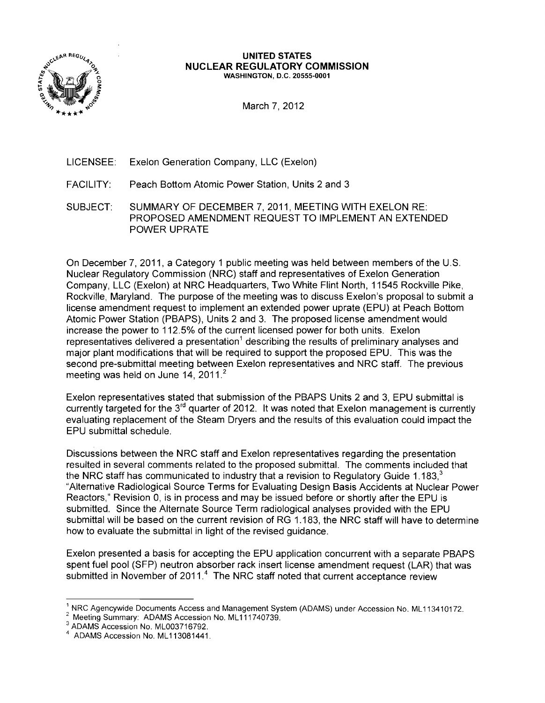

#### **UNITED STATES NUCLEAR REGULATORY COMMISSION** WASHINGTON, D.C. 20555-0001

March 7, 2012

- LICENSEE: Exelon Generation Company, LLC (Exelon)
- FACILITY: Peach Bottom Atomic Power Station, Units 2 and 3
- SUBJECT: SUMMARY OF DECEMBER 7, 2011, MEETING WITH EXELON RE: PROPOSED AMENDMENT REQUEST TO IMPLEMENT AN EXTENDED POWER UPRATE

On December 7,2011, a Category 1 public meeting was held between members of the U.S. Nuclear Regulatory Commission (NRC) staff and representatives of Exelon Generation Company, LLC (Exelon) at NRC Headquarters, Two White Flint North, 11545 Rockville Pike, Rockville, Maryland. The purpose of the meeting was to discuss Exelon's proposal to submit a license amendment request to implement an extended power uprate (EPU) at Peach Bottom Atomic Power Station (PBAPS), Units 2 and 3. The proposed license amendment would increase the power to 112.5% of the current licensed power for both units. Exelon representatives delivered a presentation<sup>1</sup> describing the results of preliminary analyses and major plant modifications that will be required to support the proposed EPU. This was the second pre-submittal meeting between Exelon representatives and NRC staff. The previous meeting was held on June 14,  $2011<sup>2</sup>$ 

Exelon representatives stated that submission of the PBAPS Units 2 and 3, EPU submittal is currently targeted for the 3<sup>rd</sup> quarter of 2012. It was noted that Exelon management is currently evaluating replacement of the Steam Dryers and the results of this evaluation could impact the EPU submittal schedule.

Discussions between the NRC staff and Exelon representatives regarding the presentation resulted in several comments related to the proposed submittal. The comments included that the NRC staff has communicated to industry that a revision to Regulatory Guide 1.183. $3$ "Alternative Radiological Source Terms for Evaluating Design Basis Accidents at Nuclear Power Reactors," Revision 0, is in process and may be issued before or shortly after the EPU is submitted. Since the Alternate Source Term radiological analyses provided with the EPU submittal will be based on the current revision of RG 1.183, the NRC staff will have to determine how to evaluate the submittal in light of the revised guidance.

Exelon presented a basis for accepting the EPU application concurrent with a separate PBAPS spent fuel pool (SFP) neutron absorber rack insert license amendment request (LAR) that was submitted in November of 2011.<sup>4</sup> The NRC staff noted that current acceptance review

NRC Agencywide Documents Access and Management System (ADAMS) under Accession No. ML113410172.

Meeting Summary: ADAMS Accession No. ML111740739.

<sup>3</sup> ADAMS Accession No. ML003716792.

<sup>4</sup> ADAMS Accession No. ML 113081441.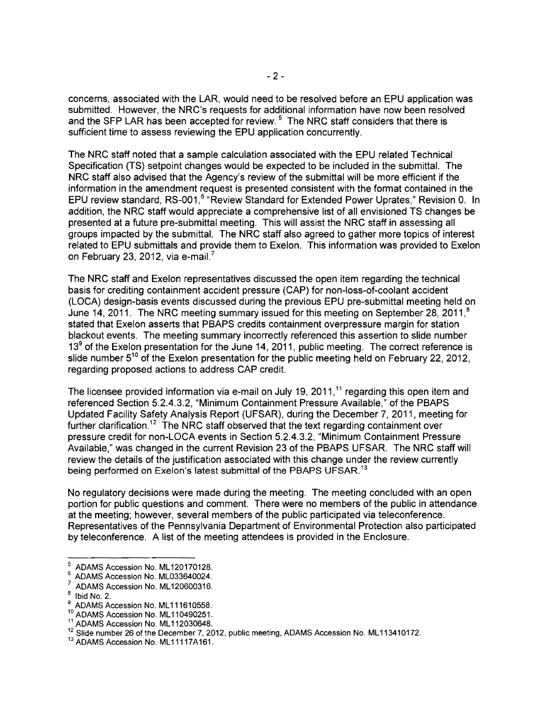concerns, associated with the LAR, would need to be resolved before an EPU application was submitted. However, the NRC's requests for additional information have now been resolved and the SFP LAR has been accepted for review.<sup>5</sup> The NRC staff considers that there is sufficient time to assess reviewing the EPU application concurrently.

The NRC staff noted that a sample calculation associated with the EPU related Technical Specification (TS) setpoint changes would be expected to be included in the submittal. The NRC staff also advised that the Agency's review of the submittal will be more efficient if the information in the amendment request is presented consistent with the format contained in the EPU review standard, RS-001,<sup>6</sup> "Review Standard for Extended Power Uprates," Revision 0. In addition, the NRC staff would appreciate a comprehensive list of all envisioned TS changes be presented at a future pre-submittal meeting. This will assist the NRC staff in assessing all groups impacted by the submittal. The NRC staff also agreed to gather more topics of interest related to EPU submittals and provide them to Exelon. This information was provided to Exelon on February 23, 2012, via e-mail?

The NRC staff and Exelon representatives discussed the open item regarding the technical basis for crediting containment accident pressure (CAP) for non-Ioss-of-coolant accident (LOCA) design-basis events discussed during the previous EPU pre-submittal meeting held on June 14, 2011. The NRC meeting summary issued for this meeting on September 28, 2011,<sup>8</sup> stated that Exelon asserts that PBAPS credits containment overpressure margin for station blackout events. The meeting summary incorrectly referenced this assertion to slide number  $13<sup>9</sup>$  of the Exelon presentation for the June 14, 2011, public meeting. The correct reference is slide number  $5^{10}$  of the Exelon presentation for the public meeting held on February 22, 2012, regarding proposed actions to address CAP credit.

The licensee provided information via e-mail on July 19, 2011,<sup>11</sup> regarding this open item and referenced Section 5.2.4.3.2, "Minimum Containment Pressure Available," of the PBAPS Updated Facility Safety Analysis Report (UFSAR), during the December 7, 2011, meeting for further clarification.<sup>12</sup> The NRC staff observed that the text regarding containment over pressure credit for non-LOCA events in Section 5.2.4.3.2, "Minimum Containment Pressure Available," was changed in the current Revision 23 of the PBAPS UFSAR. The NRC staff will review the details of the justification associated with this change under the review currently being performed on Exelon's latest submittal of the PBAPS UFSAR.<sup>13</sup>

No regulatory decisions were made during the meeting. The meeting concluded with an open portion for public questions and comment. There were no members of the public in attendance at the meeting; however, several members of the public participated via teleconference. Representatives of the Pennsylvania Department of Environmental Protection also participated by teleconference. A list of the meeting attendees is provided in the Enclosure.

<sup>&</sup>lt;sup>5</sup> ADAMS Accession No. ML120170128.

 $^6$  ADAMS Accession No. ML033640024.

 $\frac{7}{8}$  ADAMS Accession No. ML120600316.

 $^{8}$  Ibid No. 2.

<sup>9</sup> ADAMS Accession No. ML111610558.

<sup>&</sup>lt;sup>10</sup> ADAMS Accession No. ML110490251.

<sup>11</sup> ADAMS Accession No. ML112030648.

<sup>&</sup>lt;sup>12</sup> Slide number 26 of the December 7, 2012, public meeting, ADAMS Accession No. ML113410172.

<sup>&</sup>lt;sup>13</sup> ADAMS Accession No. ML11117A161.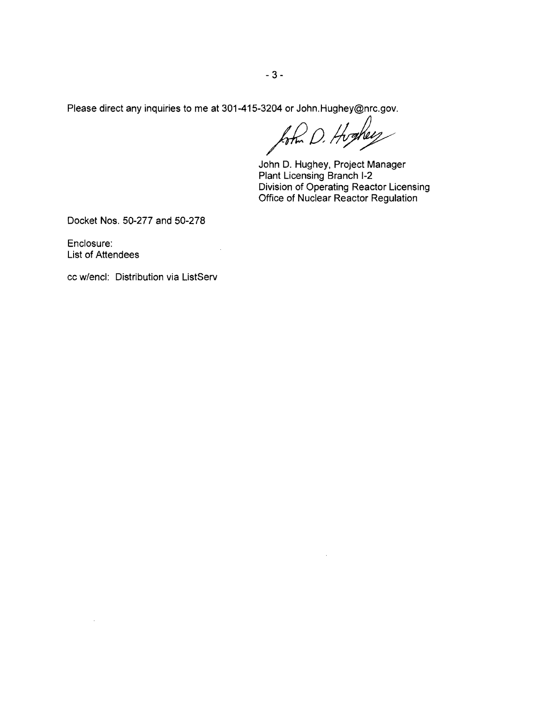Please direct any inquiries to me at 301-415-3204 or John.Hughey@nrc.gov.

 $\bar{\phantom{a}}$ 

 $km$  D. Hoghey

 $\mathcal{L}^{\mathcal{L}}$ 

John D. Hughey, Project Manager Plant Licensing Branch 1-2 Division of Operating Reactor Licensing Office of Nuclear Reactor Regulation

Docket Nos. 50-277 and 50-278

Enclosure: List of Attendees

cc w/encl: Distribution via ListServ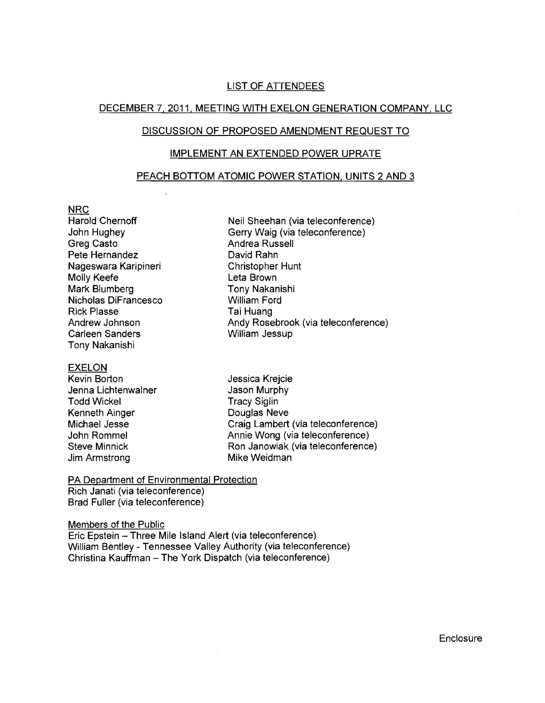# LIST OF ATrENDEES

# DECEMBER 7,2011, MEETING WITH EXELON GENERATION COMPANY, LLC

## DISCUSSION OF PROPOSED AMENDMENT REQUEST TO

## IMPLEMENT AN EXTENDED POWER UPRATE

#### PEACH BOTTOM ATOMIC POWER STATION, UNITS 2 AND 3

#### NRC

Greg Casto **Andrea Russell** Pete Hernandez David Rahn Nageswara Karipineri Christopher Hunt Molly Keefe **Leta Brown** Mark Blumberg Tony Nakanishi Nicholas DiFrancesco William Ford Rick Plasse Tai Huang Carleen Sanders William Jessup Tony Nakanishi

#### EXELON

Kevin Borton **Grand Communist Communist Communist Communist Communist Communist Communist Communist Communist Communist Communist Communist Communist Communist Communist Communist Communist Communist Communist Communist Co** Jenna Lichtenwalner **Jason Murphy** Todd Wickel **Tracy Siglin** Kenneth Ainger **Douglas Neve** Jim Armstrong **Mike Weidman** 

Harold Chernoff Neil Sheehan (via teleconference) John Hughey Gerry Waig (via teleconference) Andrew Johnson Andy Rosebrook (via teleconference)

Michael Jesse Craig Lambert (via teleconference) John Rommel Annie Wong (via teleconference) Steve Minnick Ron Janowiak (via teleconference)

PA Department of Environmental Protection Rich Janati (via teleconference)

 $\ddot{\phantom{a}}$ 

Brad Fuller (via teleconference)

Members of the Public Eric Epstein - Three Mile Island Alert (via teleconference) William Bentley - Tennessee Valley Authority (via teleconference)

Christina Kauffman - The York Dispatch (via teleconference)